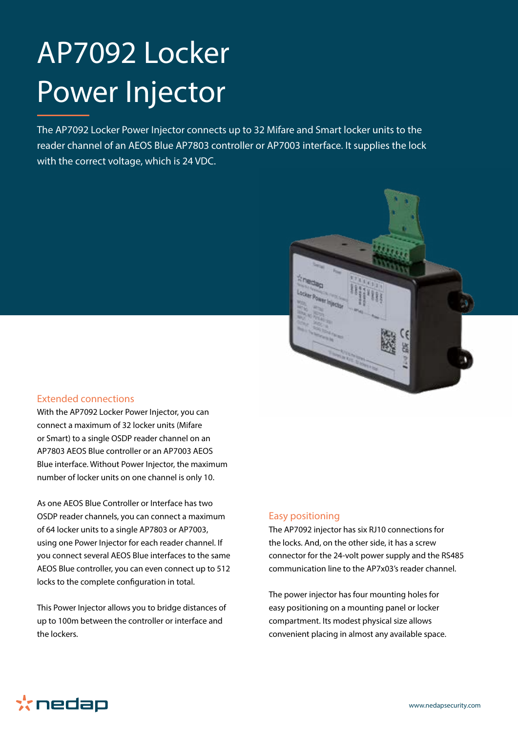# AP7092 Locker Power Injector

The AP7092 Locker Power Injector connects up to 32 Mifare and Smart locker units to the reader channel of an AEOS Blue AP7803 controller or AP7003 interface. It supplies the lock with the correct voltage, which is 24 VDC.



#### Extended connections

With the AP7092 Locker Power Injector, you can connect a maximum of 32 locker units (Mifare or Smart) to a single OSDP reader channel on an AP7803 AEOS Blue controller or an AP7003 AEOS Blue interface. Without Power Injector, the maximum number of locker units on one channel is only 10.

As one AEOS Blue Controller or Interface has two OSDP reader channels, you can connect a maximum of 64 locker units to a single AP7803 or AP7003, using one Power Injector for each reader channel. If you connect several AEOS Blue interfaces to the same AEOS Blue controller, you can even connect up to 512 locks to the complete configuration in total.

This Power Injector allows you to bridge distances of up to 100m between the controller or interface and the lockers.

## Easy positioning

The AP7092 injector has six RJ10 connections for the locks. And, on the other side, it has a screw connector for the 24-volt power supply and the RS485 communication line to the AP7x03's reader channel.

The power injector has four mounting holes for easy positioning on a mounting panel or locker compartment. Its modest physical size allows convenient placing in almost any available space.